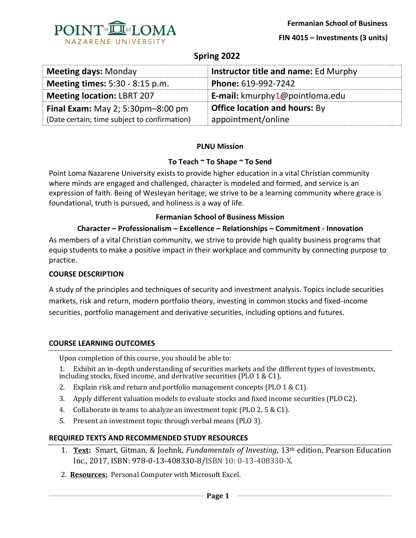

**FIN 4015 – Investments (3 units)** 

# **Spring 2022**

| <b>Meeting days: Monday</b>                  | Instructor title and name: Ed Murphy |
|----------------------------------------------|--------------------------------------|
| <b>Meeting times:</b> 5:30 - 8:15 p.m.       | Phone: 619-992-7242                  |
| <b>Meeting location: LBRT 207</b>            | E-mail: kmurphy1@pointloma.edu       |
| Final Exam: May 2; $5:30$ pm $-8:00$ pm      | <b>Office location and hours: By</b> |
| (Date certain; time subject to confirmation) | appointment/online                   |

### **PLNU Mission**

### **To Teach ~ To Shape ~ To Send**

Point Loma Nazarene University exists to provide higher education in a vital Christian community where minds are engaged and challenged, character is modeled and formed, and service is an expression of faith. Being of Wesleyan heritage, we strive to be a learning community where grace is foundational, truth is pursued, and holiness is a way of life.

### **Fermanian School of Business Mission**

### **Character – Professionalism – Excellence – Relationships – Commitment - Innovation**

As members of a vital Christian community, we strive to provide high quality business programs that equip students to make a positive impact in their workplace and community by connecting purpose to practice.

### **COURSE DESCRIPTION**

A study of the principles and techniques of security and investment analysis. Topics include securities markets, risk and return, modern portfolio theory, investing in common stocks and fixed-income securities, portfolio management and derivative securities, including options and futures.

### **COURSE LEARNING OUTCOMES**

Upon completion of this course, you should be able to:

1. Exhibit an in-depth understanding of securities markets and the different types of investments, including stocks, fixed income, and derivative securities (PLO 1 & C1).

- 2. Explain risk and return and portfolio management concepts (PLO 1 & C1).
- 3. Apply different valuation models to evaluate stocks and fixed income securities (PLO C2).
- 4. Collaborate in teams to analyze an investment topic (PLO 2, 5 & C1).
- 5. Present an investment topic through verbal means (PLO 3).

### **REQUIRED TEXTS AND RECOMMENDED STUDY RESOURCES**

- 1. **Text:** Smart, Gitman, & Joehnk, *Fundamentals of Investing*, 13th edition, Pearson Education Inc., 2017, ISBN: 978-0-13-408330-8/ISBN 10: 0-13-408330-X.
- 2. **Resources:** Personal Computer with Microsoft Excel.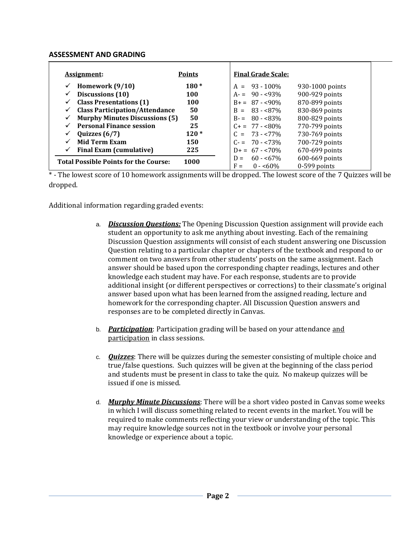### **ASSESSMENT AND GRADING**

| <u>Assignment:</u>                           | <b>Points</b> | <b>Final Grade Scale:</b> |                 |
|----------------------------------------------|---------------|---------------------------|-----------------|
| Homework (9/10)                              | $180*$        | $A = 93 - 100\%$          | 930-1000 points |
| Discussions (10)                             | 100           | $A = 90 - 93\%$           | 900-929 points  |
| <b>Class Presentations (1)</b>               | <b>100</b>    | $B_+ = 87 - 90\%$         | 870-899 points  |
| <b>Class Participation/Attendance</b>        | 50            | $B = 83 - 87\%$           | 830-869 points  |
| <b>Murphy Minutes Discussions (5)</b>        | 50            | $B = 80 - 83\%$           | 800-829 points  |
| <b>Personal Finance session</b>              | 25            | $C_{\pm} = 77 - 80\%$     | 770-799 points  |
| Quizzes $(6/7)$                              | $120*$        | $C = 73 - 77\%$           | 730-769 points  |
| <b>Mid Term Exam</b>                         | 150           | $C = 70 - 73\%$           | 700-729 points  |
| <b>Final Exam (cumulative)</b>               | 225           | $D_{+} = 67 - 570\%$      | 670-699 points  |
| <b>Total Possible Points for the Course:</b> | 1000          | $60 - 67\%$<br>$D =$      | 600-669 points  |
|                                              |               | $0 - 60\%$<br>$F =$       | $0-599$ points  |

\* - The lowest score of 10 homework assignments will be dropped. The lowest score of the 7 Quizzes will be dropped.

Additional information regarding graded events:

- a. *Discussion Questions:* The Opening Discussion Question assignment will provide each student an opportunity to ask me anything about investing. Each of the remaining Discussion Question assignments will consist of each student answering one Discussion Question relating to a particular chapter or chapters of the textbook and respond to or comment on two answers from other students' posts on the same assignment. Each answer should be based upon the corresponding chapter readings, lectures and other knowledge each student may have. For each response, students are to provide additional insight (or different perspectives or corrections) to their classmate's original answer based upon what has been learned from the assigned reading, lecture and homework for the corresponding chapter. All Discussion Question answers and responses are to be completed directly in Canvas.
- b. *Participation*: Participation grading will be based on your attendance and participation in class sessions.
- c. *Quizzes*: There will be quizzes during the semester consisting of multiple choice and true/false questions. Such quizzes will be given at the beginning of the class period and students must be present in class to take the quiz. No makeup quizzes will be issued if one is missed.
- d. *Murphy Minute Discussions*: There will be a short video posted in Canvas some weeks in which I will discuss something related to recent events in the market. You will be required to make comments reflecting your view or understanding of the topic. This may require knowledge sources not in the textbook or involve your personal knowledge or experience about a topic.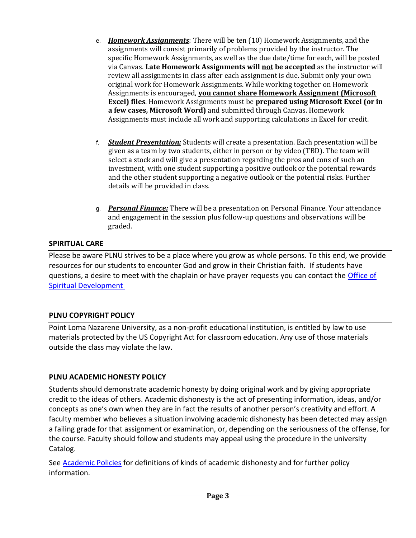- e. *Homework Assignments*: There will be ten (10) Homework Assignments, and the assignments will consist primarily of problems provided by the instructor. The specific Homework Assignments, as well as the due date/time for each, will be posted via Canvas. **Late Homework Assignments will not be accepted** as the instructor will review all assignments in class after each assignment is due. Submit only your own original work for Homework Assignments. While working together on Homework Assignments is encouraged, **you cannot share Homework Assignment (Microsoft Excel) files**. Homework Assignments must be **prepared using Microsoft Excel (or in a few cases, Microsoft Word)** and submitted through Canvas. Homework Assignments must include all work and supporting calculations in Excel for credit.
- f. *Student Presentation:* Students will create a presentation. Each presentation will be given as a team by two students, either in person or by video (TBD). The team will select a stock and will give a presentation regarding the pros and cons of such an investment, with one student supporting a positive outlook or the potential rewards and the other student supporting a negative outlook or the potential risks. Further details will be provided in class.
- g. *Personal Finance:* There will be a presentation on Personal Finance. Your attendance and engagement in the session plus follow-up questions and observations will be graded.

### **SPIRITUAL CARE**

Please be aware PLNU strives to be a place where you grow as whole persons. To this end, we provide resources for our students to encounter God and grow in their Christian faith. If students have questions, a desire to meet with the chaplain or have prayer requests you can contact the *Office of* [Spiritual Development](https://www.pointloma.edu/offices/spiritual-development)

# **PLNU COPYRIGHT POLICY**

Point Loma Nazarene University, as a non-profit educational institution, is entitled by law to use materials protected by the US Copyright Act for classroom education. Any use of those materials outside the class may violate the law.

# **PLNU ACADEMIC HONESTY POLICY**

Students should demonstrate academic honesty by doing original work and by giving appropriate credit to the ideas of others. Academic dishonesty is the act of presenting information, ideas, and/or concepts as one's own when they are in fact the results of another person's creativity and effort. A faculty member who believes a situation involving academic dishonesty has been detected may assign a failing grade for that assignment or examination, or, depending on the seriousness of the offense, for the course. Faculty should follow and students may appeal using the procedure in the university Catalog.

See **Academic Policies** for definitions of kinds of academic dishonesty and for further policy information.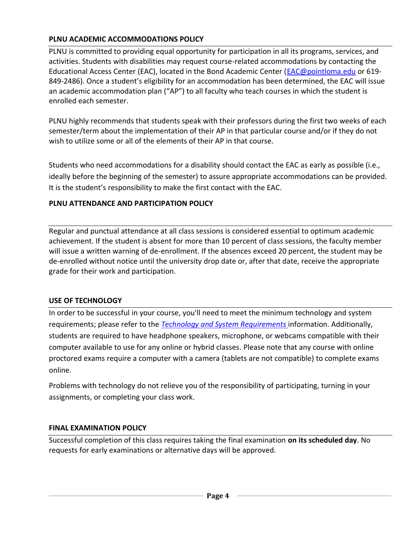# **PLNU ACADEMIC ACCOMMODATIONS POLICY**

PLNU is committed to providing equal opportunity for participation in all its programs, services, and activities. Students with disabilities may request course-related accommodations by contacting the Educational Access Center (EAC), located in the Bond Academic Center [\(EAC@pointloma.edu](mailto:EAC@pointloma.edu) or 619- 849-2486). Once a student's eligibility for an accommodation has been determined, the EAC will issue an academic accommodation plan ("AP") to all faculty who teach courses in which the student is enrolled each semester.

PLNU highly recommends that students speak with their professors during the first two weeks of each semester/term about the implementation of their AP in that particular course and/or if they do not wish to utilize some or all of the elements of their AP in that course.

Students who need accommodations for a disability should contact the EAC as early as possible (i.e., ideally before the beginning of the semester) to assure appropriate accommodations can be provided. It is the student's responsibility to make the first contact with the EAC.

# **PLNU ATTENDANCE AND PARTICIPATION POLICY**

Regular and punctual attendance at all class sessions is considered essential to optimum academic achievement. If the student is absent for more than 10 percent of class sessions, the faculty member will issue a written warning of de-enrollment. If the absences exceed 20 percent, the student may be de-enrolled without notice until the university drop date or, after that date, receive the appropriate grade for their work and participation.

# **USE OF TECHNOLOGY**

In order to be successful in your course, you'll need to meet the minimum technology and system requirements; please refer to the *[Technology and System Requirements](https://help.pointloma.edu/TDClient/1808/Portal/KB/ArticleDet?ID=108349)* information. Additionally, students are required to have headphone speakers, microphone, or webcams compatible with their computer available to use for any online or hybrid classes. Please note that any course with online proctored exams require a computer with a camera (tablets are not compatible) to complete exams online.

Problems with technology do not relieve you of the responsibility of participating, turning in your assignments, or completing your class work.

# **FINAL EXAMINATION POLICY**

Successful completion of this class requires taking the final examination **on its scheduled day**. No requests for early examinations or alternative days will be approved.